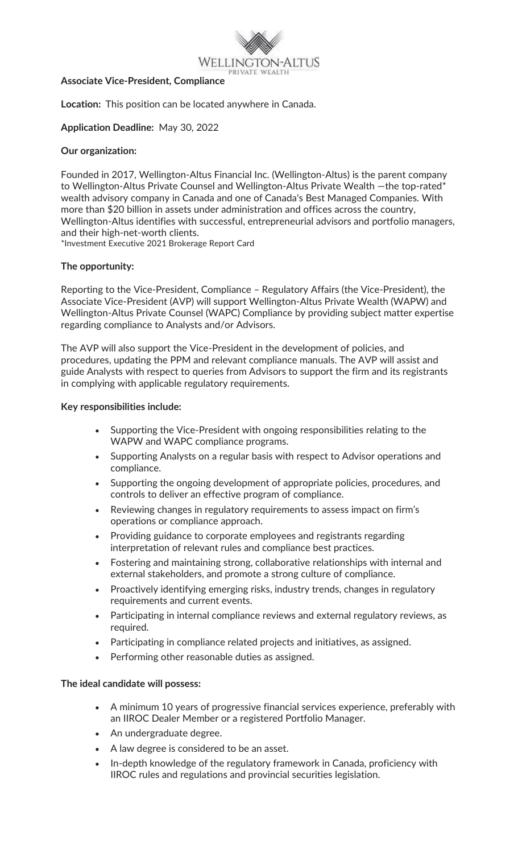

#### **Associate Vice-President, Compliance**

**Location:** This position can be located anywhere in Canada.

## **Application Deadline:** May 30, 2022

## **Our organization:**

Founded in 2017, Wellington-Altus Financial Inc. (Wellington-Altus) is the parent company to Wellington-Altus Private Counsel and Wellington-Altus Private Wealth - the top-rated\* wealth advisory company in Canada and one of Canada's Best Managed Companies. With more than \$20 billion in assets under administration and offices across the country, Wellington-Altus identifies with successful, entrepreneurial advisors and portfolio managers, and their high-net-worth clients.

\*Investment Executive 2021 Brokerage Report Card

## **The opportunity:**

Reporting to the Vice-President, Compliance – Regulatory Affairs (the Vice-President), the Associate Vice-President (AVP) will support Wellington-Altus Private Wealth (WAPW) and Wellington-Altus Private Counsel (WAPC) Compliance by providing subject matter expertise regarding compliance to Analysts and/or Advisors.

The AVP will also support the Vice-President in the development of policies, and procedures, updating the PPM and relevant compliance manuals. The AVP will assist and guide Analysts with respect to queries from Advisors to support the firm and its registrants in complying with applicable regulatory requirements.

### **Key responsibilities include:**

- Supporting the Vice-President with ongoing responsibilities relating to the WAPW and WAPC compliance programs.
- Supporting Analysts on a regular basis with respect to Advisor operations and compliance.
- Supporting the ongoing development of appropriate policies, procedures, and controls to deliver an effective program of compliance.
- Reviewing changes in regulatory requirements to assess impact on firm's operations or compliance approach.
- Providing guidance to corporate employees and registrants regarding interpretation of relevant rules and compliance best practices.
- Fostering and maintaining strong, collaborative relationships with internal and external stakeholders, and promote a strong culture of compliance.
- Proactively identifying emerging risks, industry trends, changes in regulatory requirements and current events.
- Participating in internal compliance reviews and external regulatory reviews, as required.
- Participating in compliance related projects and initiatives, as assigned.
- Performing other reasonable duties as assigned.

### **The ideal candidate will possess:**

- A minimum 10 years of progressive financial services experience, preferably with an IIROC Dealer Member or a registered Portfolio Manager.
- An undergraduate degree.
- A law degree is considered to be an asset.
- In-depth knowledge of the regulatory framework in Canada, proficiency with IIROC rules and regulations and provincial securities legislation.